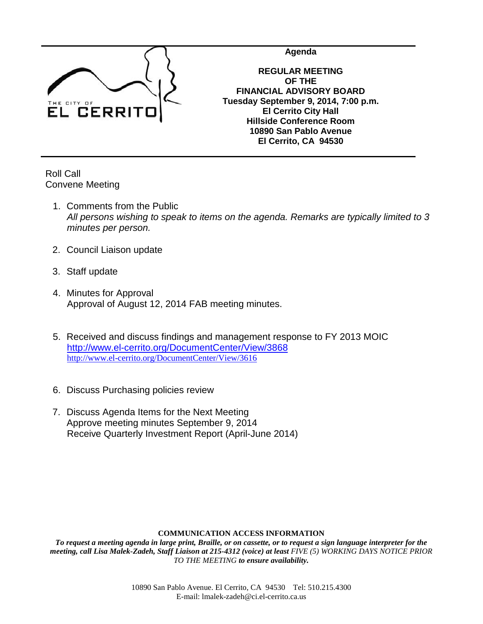

**Agenda**

**REGULAR MEETING OF THE FINANCIAL ADVISORY BOARD Tuesday September 9, 2014, 7:00 p.m. El Cerrito City Hall Hillside Conference Room 10890 San Pablo Avenue El Cerrito, CA 94530**

Roll Call Convene Meeting

- 1. Comments from the Public *All persons wishing to speak to items on the agenda. Remarks are typically limited to 3 minutes per person.*
- 2. Council Liaison update
- 3. Staff update
- 4. Minutes for Approval Approval of August 12, 2014 FAB meeting minutes.
- 5. Received and discuss findings and management response to FY 2013 MOIC <http://www.el-cerrito.org/DocumentCenter/View/3868> <http://www.el-cerrito.org/DocumentCenter/View/3616>
- 6. Discuss Purchasing policies review
- 7. Discuss Agenda Items for the Next Meeting Approve meeting minutes September 9, 2014 Receive Quarterly Investment Report (April-June 2014)

## **COMMUNICATION ACCESS INFORMATION**

*To request a meeting agenda in large print, Braille, or on cassette, or to request a sign language interpreter for the meeting, call Lisa Malek-Zadeh, Staff Liaison at 215-4312 (voice) at least FIVE (5) WORKING DAYS NOTICE PRIOR TO THE MEETING to ensure availability.*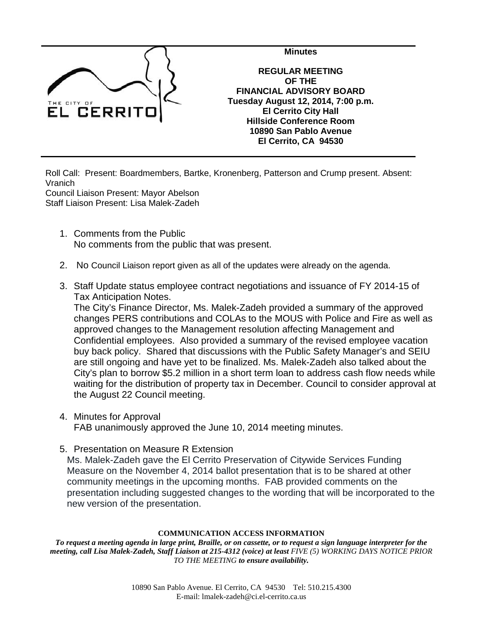

Roll Call: Present: Boardmembers, Bartke, Kronenberg, Patterson and Crump present. Absent: Vranich

Council Liaison Present: Mayor Abelson Staff Liaison Present: Lisa Malek-Zadeh

- 1. Comments from the Public No comments from the public that was present.
- 2. No Council Liaison report given as all of the updates were already on the agenda.
- 3. Staff Update status employee contract negotiations and issuance of FY 2014-15 of Tax Anticipation Notes.

The City's Finance Director, Ms. Malek-Zadeh provided a summary of the approved changes PERS contributions and COLAs to the MOUS with Police and Fire as well as approved changes to the Management resolution affecting Management and Confidential employees. Also provided a summary of the revised employee vacation buy back policy. Shared that discussions with the Public Safety Manager's and SEIU are still ongoing and have yet to be finalized. Ms. Malek-Zadeh also talked about the City's plan to borrow \$5.2 million in a short term loan to address cash flow needs while waiting for the distribution of property tax in December. Council to consider approval at the August 22 Council meeting.

- 4. Minutes for Approval FAB unanimously approved the June 10, 2014 meeting minutes.
- 5. Presentation on Measure R Extension

Ms. Malek-Zadeh gave the El Cerrito Preservation of Citywide Services Funding Measure on the November 4, 2014 ballot presentation that is to be shared at other community meetings in the upcoming months. FAB provided comments on the presentation including suggested changes to the wording that will be incorporated to the new version of the presentation.

## **COMMUNICATION ACCESS INFORMATION**

*To request a meeting agenda in large print, Braille, or on cassette, or to request a sign language interpreter for the meeting, call Lisa Malek-Zadeh, Staff Liaison at 215-4312 (voice) at least FIVE (5) WORKING DAYS NOTICE PRIOR TO THE MEETING to ensure availability.*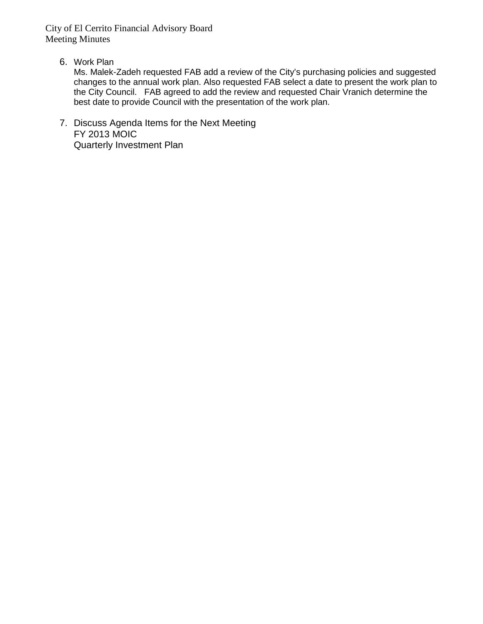City of El Cerrito Financial Advisory Board Meeting Minutes

6. Work Plan

Ms. Malek-Zadeh requested FAB add a review of the City's purchasing policies and suggested changes to the annual work plan. Also requested FAB select a date to present the work plan to the City Council. FAB agreed to add the review and requested Chair Vranich determine the best date to provide Council with the presentation of the work plan.

7. Discuss Agenda Items for the Next Meeting FY 2013 MOIC Quarterly Investment Plan